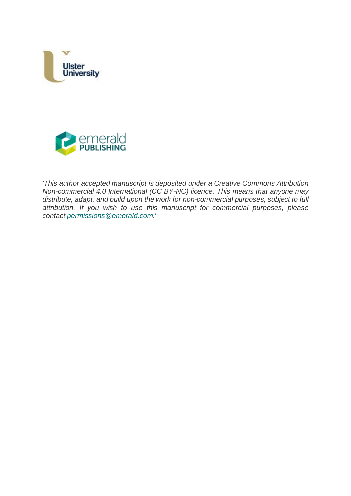



*'This author accepted manuscript is deposited under a Creative Commons Attribution Non-commercial 4.0 International (CC BY-NC) licence. This means that anyone may distribute, adapt, and build upon the work for non-commercial purposes, subject to full attribution. If you wish to use this manuscript for commercial purposes, please contact [permissions@emerald.com.](mailto:permissions@emerald.com)'*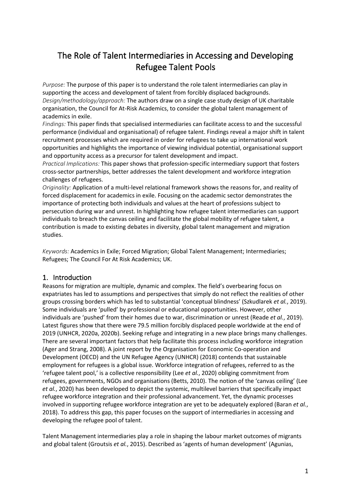# The Role of Talent Intermediaries in Accessing and Developing Refugee Talent Pools

*Purpose:* The purpose of this paper is to understand the role talent intermediaries can play in supporting the access and development of talent from forcibly displaced backgrounds. *Design/methodology/approach:* The authors draw on a single case study design of UK charitable organisation, the Council for At-Risk Academics, to consider the global talent management of academics in exile.

*Findings:* This paper finds that specialised intermediaries can facilitate access to and the successful performance (individual and organisational) of refugee talent. Findings reveal a major shift in talent recruitment processes which are required in order for refugees to take up international work opportunities and highlights the importance of viewing individual potential, organisational support and opportunity access as a precursor for talent development and impact.

*Practical Implications:* This paper shows that profession-specific intermediary support that fosters cross-sector partnerships, better addresses the talent development and workforce integration challenges of refugees.

*Originality:* Application of a multi-level relational framework shows the reasons for, and reality of forced displacement for academics in exile. Focusing on the academic sector demonstrates the importance of protecting both individuals and values at the heart of professions subject to persecution during war and unrest. In highlighting how refugee talent intermediaries can support individuals to breach the canvas ceiling and facilitate the global mobility of refugee talent, a contribution is made to existing debates in diversity, global talent management and migration studies.

*Keywords:* Academics in Exile; Forced Migration; Global Talent Management; Intermediaries; Refugees; The Council For At Risk Academics; UK.

# 1. Introduction

Reasons for migration are multiple, dynamic and complex. The field's overbearing focus on expatriates has led to assumptions and perspectives that simply do not reflect the realities of other groups crossing borders which has led to substantial 'conceptual blindness' (Szkudlarek *et al.*, 2019). Some individuals are 'pulled' by professional or educational opportunities. However, other individuals are 'pushed' from their homes due to war, discrimination or unrest (Reade *et al.*, 2019). Latest figures show that there were 79.5 million forcibly displaced people worldwide at the end of 2019 (UNHCR, 2020a, 2020b). Seeking refuge and integrating in a new place brings many challenges. There are several important factors that help facilitate this process including workforce integration (Ager and Strang, 2008). A joint report by the Organisation for Economic Co-operation and Development (OECD) and the UN Refugee Agency (UNHCR) (2018) contends that sustainable employment for refugees is a global issue. Workforce integration of refugees, referred to as the 'refugee talent pool,' is a collective responsibility (Lee *et al.*, 2020) obliging commitment from refugees, governments, NGOs and organisations (Betts, 2010). The notion of the 'canvas ceiling' (Lee *et al.*, 2020) has been developed to depict the systemic, multilevel barriers that specifically impact refugee workforce integration and their professional advancement. Yet, the dynamic processes involved in supporting refugee workforce integration are yet to be adequately explored (Baran *et al.*, 2018). To address this gap, this paper focuses on the support of intermediaries in accessing and developing the refugee pool of talent.

Talent Management intermediaries play a role in shaping the labour market outcomes of migrants and global talent (Groutsis *et al.*, 2015). Described as 'agents of human development' (Agunias,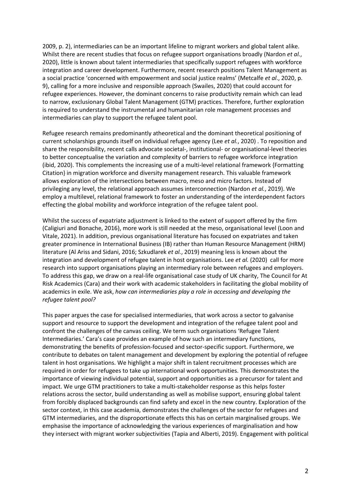2009, p. 2), intermediaries can be an important lifeline to migrant workers and global talent alike. Whilst there are recent studies that focus on refugee support organisations broadly (Nardon *et al.*, 2020), little is known about talent intermediaries that specifically support refugees with workforce integration and career development. Furthermore, recent research positions Talent Management as a social practice 'concerned with empowerment and social justice realms' (Metcalfe *et al*., 2020, p. 9), calling for a more inclusive and responsible approach (Swailes, 2020) that could account for refugee experiences. However, the dominant concerns to raise productivity remain which can lead to narrow, exclusionary Global Talent Management (GTM) practices. Therefore, further exploration is required to understand the instrumental and humanitarian role management processes and intermediaries can play to support the refugee talent pool.

Refugee research remains predominantly atheoretical and the dominant theoretical positioning of current scholarships grounds itself on individual refugee agency (Lee *et al.*, 2020) . To reposition and share the responsibility, recent calls advocate societal-, institutional- or organisational-level theories to better conceptualise the variation and complexity of barriers to refugee workforce integration (ibid, 2020). This complements the increasing use of a multi-level relational framework {Formatting Citation} in migration workforce and diversity management research. This valuable framework allows exploration of the intersections between macro, meso and micro factors. Instead of privileging any level, the relational approach assumes interconnection (Nardon *et al.*, 2019). We employ a multilevel, relational framework to foster an understanding of the interdependent factors effecting the global mobility and workforce integration of the refugee talent pool.

Whilst the success of expatriate adjustment is linked to the extent of support offered by the firm (Caligiuri and Bonache, 2016), more work is still needed at the meso, organisational level (Loon and Vitale, 2021). In addition, previous organisational literature has focused on expatriates and taken greater prominence in International Business (IB) rather than Human Resource Management (HRM) literature (Al Ariss and Sidani, 2016; Szkudlarek *et al.*, 2019) meaning less is known about the integration and development of refugee talent in host organisations. Lee *et al.* (2020) call for more research into support organisations playing an intermediary role between refugees and employers. To address this gap, we draw on a real-life organisational case study of UK charity, The Council for At Risk Academics (Cara) and their work with academic stakeholders in facilitating the global mobility of academics in exile. We ask, *how can intermediaries play a role in accessing and developing the refugee talent pool?*

This paper argues the case for specialised intermediaries, that work across a sector to galvanise support and resource to support the development and integration of the refugee talent pool and confront the challenges of the canvas ceiling. We term such organisations 'Refugee Talent Intermediaries.' Cara's case provides an example of how such an intermediary functions, demonstrating the benefits of profession-focused and sector-specific support. Furthermore, we contribute to debates on talent management and development by exploring the potential of refugee talent in host organisations. We highlight a major shift in talent recruitment processes which are required in order for refugees to take up international work opportunities. This demonstrates the importance of viewing individual potential, support and opportunities as a precursor for talent and impact. We urge GTM practitioners to take a multi-stakeholder response as this helps foster relations across the sector, build understanding as well as mobilise support, ensuring global talent from forcibly displaced backgrounds can find safety and excel in the new country. Exploration of the sector context, in this case academia, demonstrates the challenges of the sector for refugees and GTM intermediaries, and the disproportionate effects this has on certain marginalised groups. We emphasise the importance of acknowledging the various experiences of marginalisation and how they intersect with migrant worker subjectivities (Tapia and Alberti, 2019). Engagement with political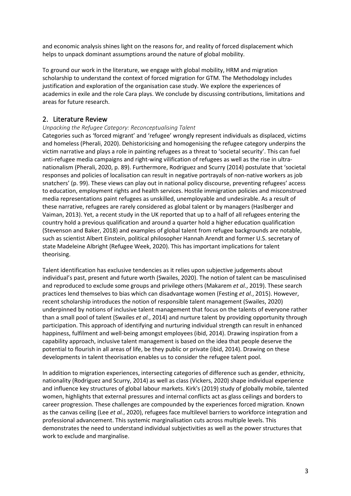and economic analysis shines light on the reasons for, and reality of forced displacement which helps to unpack dominant assumptions around the nature of global mobility.

To ground our work in the literature, we engage with global mobility, HRM and migration scholarship to understand the context of forced migration for GTM. The Methodology includes justification and exploration of the organisation case study. We explore the experiences of academics in exile and the role Cara plays. We conclude by discussing contributions, limitations and areas for future research.

# 2. Literature Review

# *Unpacking the Refugee Category: Reconceptualising Talent*

Categories such as 'forced migrant' and 'refugee' wrongly represent individuals as displaced, victims and homeless (Pherali, 2020). Dehistoricising and homogenising the refugee category underpins the victim narrative and plays a role in painting refugees as a threat to 'societal security'. This can fuel anti-refugee media campaigns and right-wing vilification of refugees as well as the rise in ultranationalism (Pherali, 2020, p. 89). Furthermore, Rodriguez and Scurry (2014) postulate that 'societal responses and policies of localisation can result in negative portrayals of non-native workers as job snatchers' (p. 99). These views can play out in national policy discourse, preventing refugees' access to education, employment rights and health services. Hostile immigration policies and misconstrued media representations paint refugees as unskilled, unemployable and undesirable. As a result of these narrative, refugees are rarely considered as global talent or by managers (Haslberger and Vaiman, 2013). Yet, a recent study in the UK reported that up to a half of all refugees entering the country hold a previous qualification and around a quarter hold a higher education qualification (Stevenson and Baker, 2018) and examples of global talent from refugee backgrounds are notable, such as scientist Albert Einstein, political philosopher Hannah Arendt and former U.S. secretary of state Madeleine Albright (Refugee Week, 2020). This has important implications for talent theorising.

Talent identification has exclusive tendencies as it relies upon subjective judgements about individual's past, present and future worth (Swailes, 2020). The notion of talent can be masculinised and reproduced to exclude some groups and privilege others (Makarem *et al.*, 2019). These search practices lend themselves to bias which can disadvantage women (Festing *et al.*, 2015). However, recent scholarship introduces the notion of responsible talent management (Swailes, 2020) underpinned by notions of inclusive talent management that focus on the talents of everyone rather than a small pool of talent (Swailes *et al.*, 2014) and nurture talent by providing opportunity through participation. This approach of identifying and nurturing individual strength can result in enhanced happiness, fulfilment and well-being amongst employees (ibid, 2014). Drawing inspiration from a capability approach, inclusive talent management is based on the idea that people deserve the potential to flourish in all areas of life, be they public or private (ibid, 2014). Drawing on these developments in talent theorisation enables us to consider the refugee talent pool.

In addition to migration experiences, intersecting categories of difference such as gender, ethnicity, nationality (Rodriguez and Scurry, 2014) as well as class (Vickers, 2020) shape individual experience and influence key structures of global labour markets. Kirk's (2019) study of globally mobile, talented women, highlights that external pressures and internal conflicts act as glass ceilings and borders to career progression. These challenges are compounded by the experiences forced migration. Known as the canvas ceiling (Lee *et al.*, 2020), refugees face multilevel barriers to workforce integration and professional advancement. This systemic marginalisation cuts across multiple levels. This demonstrates the need to understand individual subjectivities as well as the power structures that work to exclude and marginalise.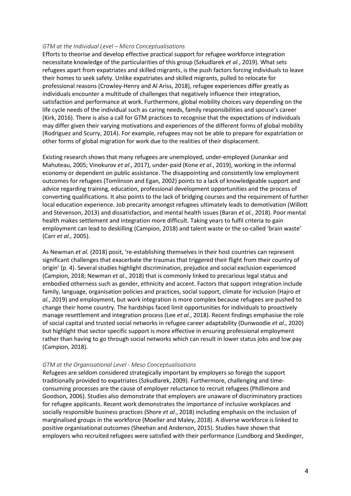### *GTM at the Individual Level – Micro Conceptualisations*

Efforts to theorise and develop effective practical support for refugee workforce integration necessitate knowledge of the particularities of this group (Szkudlarek *et al.*, 2019). What sets refugees apart from expatriates and skilled migrants, is the push factors forcing individuals to leave their homes to seek safety. Unlike expatriates and skilled migrants, pulled to relocate for professional reasons (Crowley-Henry and Al Ariss, 2018), refugee experiences differ greatly as individuals encounter a multitude of challenges that negatively influence their integration, satisfaction and performance at work. Furthermore, global mobility choices vary depending on the life cycle needs of the individual such as caring needs, family responsibilities and spouse's career (Kirk, 2016). There is also a call for GTM practices to recognise that the expectations of individuals may differ given their varying motivations and experiences of the different forms of global mobility (Rodriguez and Scurry, 2014). For example, refugees may not be able to prepare for expatriation or other forms of global migration for work due to the realities of their displacement.

Existing research shows that many refugees are unemployed, under-employed (Junankar and Mahuteau, 2005; Vinokurov *et al.*, 2017), under-paid (Kone *et al.*, 2019), working in the informal economy or dependent on public assistance. The disappointing and consistently low employment outcomes for refugees (Tomlinson and Egan, 2002) points to a lack of knowledgeable support and advice regarding training, education, professional development opportunities and the process of converting qualifications. It also points to the lack of bridging courses and the requirement of further local education experience. Job precarity amongst refugees ultimately leads to demotivation (Willott and Stevenson, 2013) and dissatisfaction, and mental health issues (Baran *et al.*, 2018). Poor mental health makes settlement and integration more difficult. Taking years to fulfil criteria to gain employment can lead to deskilling (Campion, 2018) and talent waste or the so-called 'brain waste' (Carr *et al.*, 2005).

As Newman *et al.* (2018) posit, 're-establishing themselves in their host countries can represent significant challenges that exacerbate the traumas that triggered their flight from their country of origin' (p. 4). Several studies highlight discrimination, prejudice and social exclusion experienced (Campion, 2018; Newman *et al.*, 2018) that is commonly linked to precarious legal status and embodied otherness such as gender, ethnicity and accent. Factors that support integration include family, language, organisation policies and practices, social support, climate for inclusion (Hajro *et al.*, 2019) and employment, but work integration is more complex because refugees are pushed to change their home country. The hardships faced limit opportunities for individuals to proactively manage resettlement and integration process (Lee *et al.*, 2018). Recent findings emphasise the role of social capital and trusted social networks in refugee career adaptability (Dunwoodie *et al.*, 2020) but highlight that sector specific support is more effective in ensuring professional employment rather than having to go through social networks which can result in lower status jobs and low pay (Campion, 2018).

# *GTM at the Organisational Level - Meso Conceptualisations*

Refugees are seldom considered strategically important by employers so forego the support traditionally provided to expatriates (Szkudlarek, 2009). Furthermore, challenging and timeconsuming processes are the cause of employer reluctance to recruit refugees (Phillimore and Goodson, 2006). Studies also demonstrate that employers are unaware of discriminatory practices for refugee applicants. Recent work demonstrates the importance of inclusive workplaces and socially responsible business practices (Shore *et al.*, 2018) including emphasis on the inclusion of marginalised groups in the workforce (Moeller and Maley, 2018). A diverse workforce is linked to positive organisational outcomes (Sheehan and Anderson, 2015). Studies have shown that employers who recruited refugees were satisfied with their performance (Lundborg and Skedinger,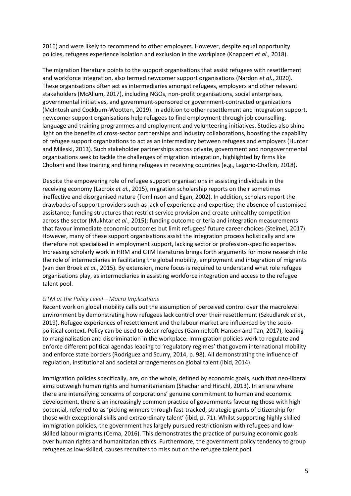2016) and were likely to recommend to other employers. However, despite equal opportunity policies, refugees experience isolation and exclusion in the workplace (Knappert *et al.*, 2018).

The migration literature points to the support organisations that assist refugees with resettlement and workforce integration, also termed newcomer support organisations (Nardon *et al.*, 2020). These organisations often act as intermediaries amongst refugees, employers and other relevant stakeholders (McAllum, 2017), including NGOs, non-profit organisations, social enterprises, governmental initiatives, and government-sponsored or government-contracted organizations (McIntosh and Cockburn-Wootten, 2019). In addition to other resettlement and integration support, newcomer support organisations help refugees to find employment through job counselling, language and training programmes and employment and volunteering initiatives. Studies also shine light on the benefits of cross-sector partnerships and industry collaborations, boosting the capability of refugee support organizations to act as an intermediary between refugees and employers (Hunter and Mileski, 2013). Such stakeholder partnerships across private, government and nongovernmental organisations seek to tackle the challenges of migration integration, highlighted by firms like Chobani and Ikea training and hiring refugees in receiving countries (e.g., Lagorio-Chafkin, 2018).

Despite the empowering role of refugee support organisations in assisting individuals in the receiving economy (Lacroix *et al.*, 2015), migration scholarship reports on their sometimes ineffective and disorganised nature (Tomlinson and Egan, 2002). In addition, scholars report the drawbacks of support providers such as lack of experience and expertise; the absence of customised assistance; funding structures that restrict service provision and create unhealthy competition across the sector (Mukhtar *et al.*, 2015); funding outcome criteria and integration measurements that favour immediate economic outcomes but limit refugees' future career choices (Steimel, 2017). However, many of these support organisations assist the integration process holistically and are therefore not specialised in employment support, lacking sector or profession-specific expertise. Increasing scholarly work in HRM and GTM literatures brings forth arguments for more research into the role of intermediaries in facilitating the global mobility, employment and integration of migrants (van den Broek *et al.*, 2015). By extension, more focus is required to understand what role refugee organisations play, as intermediaries in assisting workforce integration and access to the refugee talent pool.

# *GTM at the Policy Level – Macro Implications*

Recent work on global mobility calls out the assumption of perceived control over the macrolevel environment by demonstrating how refugees lack control over their resettlement (Szkudlarek *et al.*, 2019). Refugee experiences of resettlement and the labour market are influenced by the sociopolitical context. Policy can be used to deter refugees (Gammeltoft-Hansen and Tan, 2017), leading to marginalisation and discrimination in the workplace. Immigration policies work to regulate and enforce different political agendas leading to 'regulatory regimes' that govern international mobility and enforce state borders (Rodriguez and Scurry, 2014, p. 98). All demonstrating the influence of regulation, institutional and societal arrangements on global talent (ibid, 2014).

Immigration policies specifically, are, on the whole, defined by economic goals, such that neo-liberal aims outweigh human rights and humanitarianism (Shachar and Hirschl, 2013). In an era where there are intensifying concerns of corporations' genuine commitment to human and economic development, there is an increasingly common practice of governments favouring those with high potential, referred to as 'picking winners through fast-tracked, strategic grants of citizenship for those with exceptional skills and extraordinary talent' (ibid, p. 71). Whilst supporting highly skilled immigration policies, the government has largely pursued restrictionism with refugees and lowskilled labour migrants (Cerna, 2016). This demonstrates the practice of pursuing economic goals over human rights and humanitarian ethics. Furthermore, the government policy tendency to group refugees as low-skilled, causes recruiters to miss out on the refugee talent pool.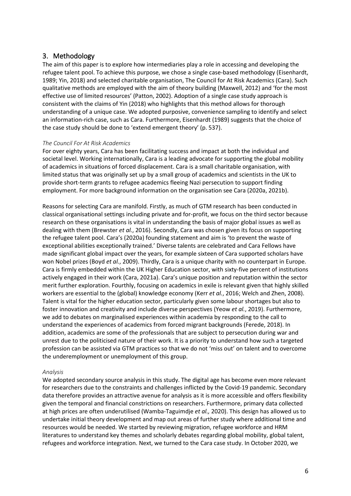# 3. Methodology

The aim of this paper is to explore how intermediaries play a role in accessing and developing the refugee talent pool. To achieve this purpose, we chose a single case-based methodology (Eisenhardt, 1989; Yin, 2018) and selected charitable organisation, The Council for At Risk Academics (Cara). Such qualitative methods are employed with the aim of theory building (Maxwell, 2012) and 'for the most effective use of limited resources' (Patton, 2002). Adoption of a single case study approach is consistent with the claims of Yin (2018) who highlights that this method allows for thorough understanding of a unique case. We adopted purposive, convenience sampling to identify and select an information-rich case, such as Cara. Furthermore, Eisenhardt (1989) suggests that the choice of the case study should be done to 'extend emergent theory' (p. 537).

# *The Council For At Risk Academics*

For over eighty years, Cara has been facilitating success and impact at both the individual and societal level. Working internationally, Cara is a leading advocate for supporting the global mobility of academics in situations of forced displacement. Cara is a small charitable organisation, with limited status that was originally set up by a small group of academics and scientists in the UK to provide short-term grants to refugee academics fleeing Nazi persecution to support finding employment. For more background information on the organisation see Cara (2020a, 2021b).

Reasons for selecting Cara are manifold. Firstly, as much of GTM research has been conducted in classical organisational settings including private and for-profit, we focus on the third sector because research on these organisations is vital in understanding the basis of major global issues as well as dealing with them (Brewster *et al.*, 2016). Secondly, Cara was chosen given its focus on supporting the refugee talent pool. Cara's (2020a) founding statement and aim is 'to prevent the waste of exceptional abilities exceptionally trained.' Diverse talents are celebrated and Cara Fellows have made significant global impact over the years, for example sixteen of Cara supported scholars have won Nobel prizes (Boyd *et al.*, 2009). Thirdly, Cara is a unique charity with no counterpart in Europe. Cara is firmly embedded within the UK Higher Education sector, with sixty-five percent of institutions actively engaged in their work (Cara, 2021a). Cara's unique position and reputation within the sector merit further exploration. Fourthly, focusing on academics in exile is relevant given that highly skilled workers are essential to the (global) knowledge economy (Kerr *et al.*, 2016; Welch and Zhen, 2008). Talent is vital for the higher education sector, particularly given some labour shortages but also to foster innovation and creativity and include diverse perspectives (Yeow *et al.*, 2019). Furthermore, we add to debates on marginalised experiences within academia by responding to the call to understand the experiences of academics from forced migrant backgrounds (Ferede, 2018). In addition, academics are some of the professionals that are subject to persecution during war and unrest due to the politicised nature of their work. It is a priority to understand how such a targeted profession can be assisted via GTM practices so that we do not 'miss out' on talent and to overcome the underemployment or unemployment of this group.

# *Analysis*

We adopted secondary source analysis in this study. The digital age has become even more relevant for researchers due to the constraints and challenges inflicted by the Covid-19 pandemic. Secondary data therefore provides an attractive avenue for analysis as it is more accessible and offers flexibility given the temporal and financial constrictions on researchers. Furthermore, primary data collected at high prices are often underutilised (Wamba-Taguimdje *et al.,* 2020). This design has allowed us to undertake initial theory development and map out areas of further study where additional time and resources would be needed. We started by reviewing migration, refugee workforce and HRM literatures to understand key themes and scholarly debates regarding global mobility, global talent, refugees and workforce integration. Next, we turned to the Cara case study. In October 2020, we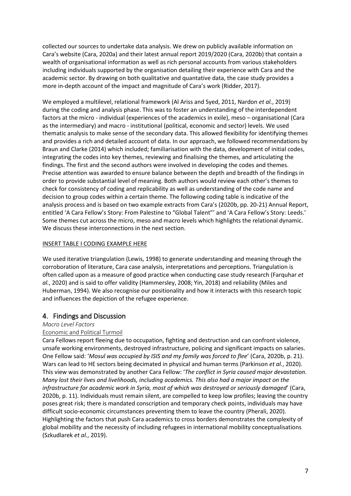collected our sources to undertake data analysis. We drew on publicly available information on Cara's website (Cara, 2020a) and their latest annual report 2019/2020 (Cara, 2020b) that contain a wealth of organisational information as well as rich personal accounts from various stakeholders including individuals supported by the organisation detailing their experience with Cara and the academic sector. By drawing on both qualitative and quantative data, the case study provides a more in-depth account of the impact and magnitude of Cara's work (Ridder, 2017).

We employed a multilevel, relational framework (Al Ariss and Syed, 2011, Nardon *et al.*, 2019) during the coding and analysis phase. This was to foster an understanding of the interdependent factors at the micro - individual (experiences of the academics in exile), meso – organisational (Cara as the intermediary) and macro - institutional (political, economic and sector) levels. We used thematic analysis to make sense of the secondary data. This allowed flexibility for identifying themes and provides a rich and detailed account of data. In our approach, we followed recommendations by Braun and Clarke (2014) which included; familiarisation with the data, development of initial codes, integrating the codes into key themes, reviewing and finalising the themes, and articulating the findings. The first and the second authors were involved in developing the codes and themes. Precise attention was awarded to ensure balance between the depth and breadth of the findings in order to provide substantial level of meaning. Both authors would review each other's themes to check for consistency of coding and replicability as well as understanding of the code name and decision to group codes within a certain theme. The following coding table is indicative of the analysis process and is based on two example extracts from Cara's (2020b, pp. 20-21) Annual Report, entitled 'A Cara Fellow's Story: From Palestine to "Global Talent"' and 'A Cara Fellow's Story: Leeds.' Some themes cut across the micro, meso and macro levels which highlights the relational dynamic. We discuss these interconnections in the next section.

# INSERT TABLE I CODING EXAMPLE HERE

We used iterative triangulation (Lewis, 1998) to generate understanding and meaning through the corroboration of literature, Cara case analysis, interpretations and perceptions. Triangulation is often called upon as a measure of good practice when conducting case study research (Farquhar *et al.*, 2020) and is said to offer validity (Hammersley, 2008; Yin, 2018) and reliability (Miles and Huberman, 1994). We also recognise our positionality and how it interacts with this research topic and influences the depiction of the refugee experience.

# 4. Findings and Discussion

# *Macro Level Factors*

# Economic and Political Turmoil

Cara Fellows report fleeing due to occupation, fighting and destruction and can confront violence, unsafe working environments, destroyed infrastructure, policing and significant impacts on salaries. One Fellow said: '*Mosul was occupied by ISIS and my family was forced to flee*' (Cara, 2020b, p. 21). Wars can lead to HE sectors being decimated in physical and human terms (Parkinson *et al.*, 2020). This view was demonstrated by another Cara Fellow: '*The conflict in Syria caused major devastation. Many lost their lives and livelihoods, including academics. This also had a major impact on the infrastructure for academic work in Syria, most of which was destroyed or seriously damaged*' (Cara, 2020b, p. 11). Individuals must remain silent, are compelled to keep low profiles; leaving the country poses great risk; there is mandated conscription and temporary check points, individuals may have difficult socio-economic circumstances preventing them to leave the country (Pherali, 2020). Highlighting the factors that push Cara academics to cross borders demonstrates the complexity of global mobility and the necessity of including refugees in international mobility conceptualisations (Szkudlarek *et al.*, 2019).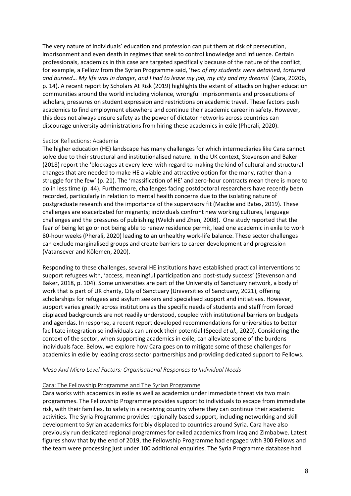The very nature of individuals' education and profession can put them at risk of persecution, imprisonment and even death in regimes that seek to control knowledge and influence. Certain professionals, academics in this case are targeted specifically because of the nature of the conflict; for example, a Fellow from the Syrian Programme said, '*two of my students were detained, tortured and burned… My life was in danger, and I had to leave my job, my city and my dreams*' (Cara, 2020b, p. 14). A recent report by Scholars At Risk (2019) highlights the extent of attacks on higher education communities around the world including violence, wrongful imprisonments and prosecutions of scholars, pressures on student expression and restrictions on academic travel. These factors push academics to find employment elsewhere and continue their academic career in safety. However, this does not always ensure safety as the power of dictator networks across countries can discourage university administrations from hiring these academics in exile (Pherali, 2020).

### Sector Reflections: Academia

The higher education (HE) landscape has many challenges for which intermediaries like Cara cannot solve due to their structural and institutionalised nature. In the UK context, Stevenson and Baker (2018) report the 'blockages at every level with regard to making the kind of cultural and structural changes that are needed to make HE a viable and attractive option for the many, rather than a struggle for the few' (p. 21). The 'massification of HE' and zero-hour contracts mean there is more to do in less time (p. 44). Furthermore, challenges facing postdoctoral researchers have recently been recorded, particularly in relation to mental health concerns due to the isolating nature of postgraduate research and the importance of the supervisory fit (Mackie and Bates, 2019). These challenges are exacerbated for migrants; individuals confront new working cultures, language challenges and the pressures of publishing (Welch and Zhen, 2008). One study reported that the fear of being let go or not being able to renew residence permit, lead one academic in exile to work 80-hour weeks (Pherali, 2020) leading to an unhealthy work-life balance. These sector challenges can exclude marginalised groups and create barriers to career development and progression (Vatansever and Kölemen, 2020).

Responding to these challenges, several HE institutions have established practical interventions to support refugees with, 'access, meaningful participation and post-study success' (Stevenson and Baker, 2018, p. 104). Some universities are part of the University of Sanctuary network, a body of work that is part of UK charity, City of Sanctuary (Universities of Sanctuary, 2021), offering scholarships for refugees and asylum seekers and specialised support and initiatives. However, support varies greatly across institutions as the specific needs of students and staff from forced displaced backgrounds are not readily understood, coupled with institutional barriers on budgets and agendas. In response, a recent report developed recommendations for universities to better facilitate integration so individuals can unlock their potential (Speed *et al.,* 2020). Considering the context of the sector, when supporting academics in exile, can alleviate some of the burdens individuals face. Below, we explore how Cara goes on to mitigate some of these challenges for academics in exile by leading cross sector partnerships and providing dedicated support to Fellows.

#### *Meso And Micro Level Factors: Organisational Responses to Individual Needs*

#### Cara: The Fellowship Programme and The Syrian Programme

Cara works with academics in exile as well as academics under immediate threat via two main programmes. The Fellowship Programme provides support to individuals to escape from immediate risk, with their families, to safety in a receiving country where they can continue their academic activities. The Syria Programme provides regionally based support, including networking and skill development to Syrian academics forcibly displaced to countries around Syria. Cara have also previously run dedicated regional programmes for exiled academics from Iraq and Zimbabwe. Latest figures show that by the end of 2019, the Fellowship Programme had engaged with 300 Fellows and the team were processing just under 100 additional enquiries. The Syria Programme database had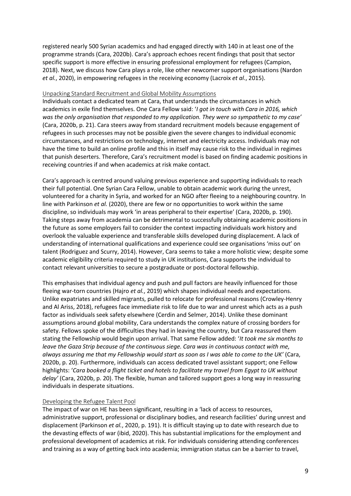registered nearly 500 Syrian academics and had engaged directly with 140 in at least one of the programme strands (Cara, 2020b). Cara's approach echoes recent findings that posit that sector specific support is more effective in ensuring professional employment for refugees (Campion, 2018). Next, we discuss how Cara plays a role, like other newcomer support organisations (Nardon *et al.*, 2020), in empowering refugees in the receiving economy (Lacroix *et al*., 2015).

# Unpacking Standard Recruitment and Global Mobility Assumptions

Individuals contact a dedicated team at Cara, that understands the circumstances in which academics in exile find themselves. One Cara Fellow said: '*I got in touch with Cara in 2016, which was the only organisation that responded to my application. They were so sympathetic to my case'* (Cara, 2020b, p. 21). Cara steers away from standard recruitment models because engagement of refugees in such processes may not be possible given the severe changes to individual economic circumstances, and restrictions on technology, internet and electricity access. Individuals may not have the time to build an online profile and this in itself may cause risk to the individual in regimes that punish deserters. Therefore, Cara's recruitment model is based on finding academic positions in receiving countries if and when academics at risk make contact.

Cara's approach is centred around valuing previous experience and supporting individuals to reach their full potential. One Syrian Cara Fellow, unable to obtain academic work during the unrest, volunteered for a charity in Syria, and worked for an NGO after fleeing to a neighbouring country. In line with Parkinson *et al.* (2020), there are few or no opportunities to work within the same discipline, so individuals may work 'in areas peripheral to their expertise' (Cara, 2020b, p. 190). Taking steps away from academia can be detrimental to successfully obtaining academic positions in the future as some employers fail to consider the context impacting individuals work history and overlook the valuable experience and transferable skills developed during displacement. A lack of understanding of international qualifications and experience could see organisations 'miss out' on talent (Rodriguez and Scurry, 2014). However, Cara seems to take a more holistic view; despite some academic eligibility criteria required to study in UK institutions, Cara supports the individual to contact relevant universities to secure a postgraduate or post-doctoral fellowship.

This emphasises that individual agency and push and pull factors are heavily influenced for those fleeing war-torn countries (Hajro *et al.*, 2019) which shapes individual needs and expectations. Unlike expatriates and skilled migrants, pulled to relocate for professional reasons (Crowley-Henry and Al Ariss, 2018), refugees face immediate risk to life due to war and unrest which acts as a push factor as individuals seek safety elsewhere (Cerdin and Selmer, 2014). Unlike these dominant assumptions around global mobility, Cara understands the complex nature of crossing borders for safety. Fellows spoke of the difficulties they had in leaving the country, but Cara reassured them stating the Fellowship would begin upon arrival. That same Fellow added: '*It took me six months to leave the Gaza Strip because of the continuous siege. Cara was in continuous contact with me, always assuring me that my Fellowship would start as soon as I was able to come to the UK'* (Cara, 2020b, p. 20). Furthermore, individuals can access dedicated travel assistant support; one Fellow highlights: '*Cara booked a flight ticket and hotels to facilitate my travel from Egypt to UK without delay'* (Cara, 2020b, p. 20). The flexible, human and tailored support goes a long way in reassuring individuals in desperate situations.

# Developing the Refugee Talent Pool

The impact of war on HE has been significant, resulting in a 'lack of access to resources, administrative support, professional or disciplinary bodies, and research facilities' during unrest and displacement (Parkinson *et al.*, 2020, p. 191). It is difficult staying up to date with research due to the devasting effects of war (ibid, 2020). This has substantial implications for the employment and professional development of academics at risk. For individuals considering attending conferences and training as a way of getting back into academia; immigration status can be a barrier to travel,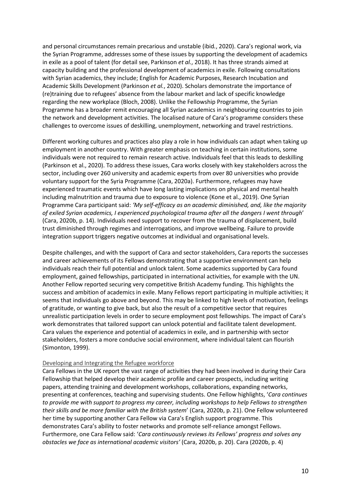and personal circumstances remain precarious and unstable (ibid*.*, 2020). Cara's regional work, via the Syrian Programme, addresses some of these issues by supporting the development of academics in exile as a pool of talent (for detail see, Parkinson *et al.*, 2018). It has three strands aimed at capacity building and the professional development of academics in exile. Following consultations with Syrian academics, they include; English for Academic Purposes, Research Incubation and Academic Skills Development (Parkinson *et al.*, 2020). Scholars demonstrate the importance of (re)training due to refugees' absence from the labour market and lack of specific knowledge regarding the new workplace (Bloch, 2008). Unlike the Fellowship Programme, the Syrian Programme has a broader remit encouraging all Syrian academics in neighbouring countries to join the network and development activities. The localised nature of Cara's programme considers these challenges to overcome issues of deskilling, unemployment, networking and travel restrictions.

Different working cultures and practices also play a role in how individuals can adapt when taking up employment in another country. With greater emphasis on teaching in certain institutions, some individuals were not required to remain research active. Individuals feel that this leads to deskilling (Parkinson et al., 2020). To address these issues, Cara works closely with key stakeholders across the sector, including over 260 university and academic experts from over 80 universities who provide voluntary support for the Syria Programme (Cara, 2020a). Furthermore, refugees may have experienced traumatic events which have long lasting implications on physical and mental health including malnutrition and trauma due to exposure to violence (Kone et al., 2019). One Syrian Programme Cara participant said: *'My self-efficacy as an academic diminished, and, like the majority of exiled Syrian academics, I experienced psychological trauma after all the dangers I went through*' (Cara, 2020b, p. 14). Individuals need support to recover from the trauma of displacement, build trust diminished through regimes and interrogations, and improve wellbeing. Failure to provide integration support triggers negative outcomes at individual and organisational levels.

Despite challenges, and with the support of Cara and sector stakeholders, Cara reports the successes and career achievements of its Fellows demonstrating that a supportive environment can help individuals reach their full potential and unlock talent. Some academics supported by Cara found employment, gained fellowships, participated in international activities, for example with the UN. Another Fellow reported securing very competitive British Academy funding. This highlights the success and ambition of academics in exile. Many Fellows report participating in multiple activities; it seems that individuals go above and beyond. This may be linked to high levels of motivation, feelings of gratitude, or wanting to give back, but also the result of a competitive sector that requires unrealistic participation levels in order to secure employment post fellowships. The impact of Cara's work demonstrates that tailored support can unlock potential and facilitate talent development. Cara values the experience and potential of academics in exile, and in partnership with sector stakeholders, fosters a more conducive social environment, where individual talent can flourish (Simonton, 1999).

#### Developing and Integrating the Refugee workforce

Cara Fellows in the UK report the vast range of activities they had been involved in during their Cara Fellowship that helped develop their academic profile and career prospects, including writing papers, attending training and development workshops, collaborations, expanding networks, presenting at conferences, teaching and supervising students. One Fellow highlights, '*Cara continues to provide me with support to progress my career, including workshops to help Fellows to strengthen their skills and be more familiar with the British system*' (Cara, 2020b, p. 21). One Fellow volunteered her time by supporting another Cara Fellow via Cara's English support programme. This demonstrates Cara's ability to foster networks and promote self-reliance amongst Fellows. Furthermore, one Cara Fellow said: '*Cara continuously reviews its Fellows' progress and solves any obstacles we face as international academic visitors'* (Cara, 2020b, p. 20). Cara (2020b, p. 4)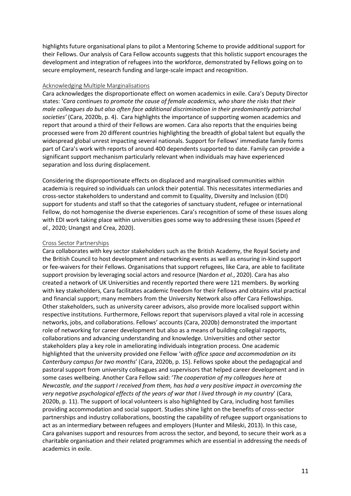highlights future organisational plans to pilot a Mentoring Scheme to provide additional support for their Fellows. Our analysis of Cara Fellow accounts suggests that this holistic support encourages the development and integration of refugees into the workforce, demonstrated by Fellows going on to secure employment, research funding and large-scale impact and recognition.

### Acknowledging Multiple Marginalisations

Cara acknowledges the disproportionate effect on women academics in exile. Cara's Deputy Director states: '*Cara continues to promote the cause of female academics, who share the risks that their male colleagues do but also often face additional discrimination in their predominantly patriarchal societies'* (Cara, 2020b, p. 4). Cara highlights the importance of supporting women academics and report that around a third of their Fellows are women. Cara also reports that the enquiries being processed were from 20 different countries highlighting the breadth of global talent but equally the widespread global unrest impacting several nationals. Support for Fellows' immediate family forms part of Cara's work with reports of around 400 dependents supported to date. Family can provide a significant support mechanism particularly relevant when individuals may have experienced separation and loss during displacement.

Considering the disproportionate effects on displaced and marginalised communities within academia is required so individuals can unlock their potential. This necessitates intermediaries and cross-sector stakeholders to understand and commit to Equality, Diversity and Inclusion (EDI) support for students and staff so that the categories of sanctuary student, refugee or international Fellow, do not homogenise the diverse experiences. Cara's recognition of some of these issues along with EDI work taking place within universities goes some way to addressing these issues (Speed *et al.*, 2020; Unangst and Crea, 2020).

### Cross Sector Partnerships

Cara collaborates with key sector stakeholders such as the British Academy, the Royal Society and the British Council to host development and networking events as well as ensuring in-kind support or fee-waivers for their Fellows. Organisations that support refugees, like Cara, are able to facilitate support provision by leveraging social actors and resource (Nardon *et al.*, 2020). Cara has also created a network of UK Universities and recently reported there were 121 members. By working with key stakeholders, Cara facilitates academic freedom for their Fellows and obtains vital practical and financial support; many members from the University Network also offer Cara Fellowships. Other stakeholders, such as university career advisors, also provide more localised support within respective institutions. Furthermore, Fellows report that supervisors played a vital role in accessing networks, jobs, and collaborations. Fellows' accounts (Cara, 2020b) demonstrated the important role of networking for career development but also as a means of building collegial rapports, collaborations and advancing understanding and knowledge. Universities and other sector stakeholders play a key role in ameliorating individuals integration process. One academic highlighted that the university provided one Fellow '*with office space and accommodation on its Canterbury campus for two months*' (Cara, 2020b, p. 15). Fellows spoke about the pedagogical and pastoral support from university colleagues and supervisors that helped career development and in some cases wellbeing. Another Cara Fellow said: '*The cooperation of my colleagues here at Newcastle, and the support I received from them, has had a very positive impact in overcoming the very negative psychological effects of the years of war that I lived through in my country*' (Cara, 2020b, p. 11). The support of local volunteers is also highlighted by Cara, including host families providing accommodation and social support. Studies shine light on the benefits of cross-sector partnerships and industry collaborations, boosting the capability of refugee support organisations to act as an intermediary between refugees and employers (Hunter and Mileski, 2013). In this case, Cara galvanises support and resources from across the sector, and beyond, to secure their work as a charitable organisation and their related programmes which are essential in addressing the needs of academics in exile.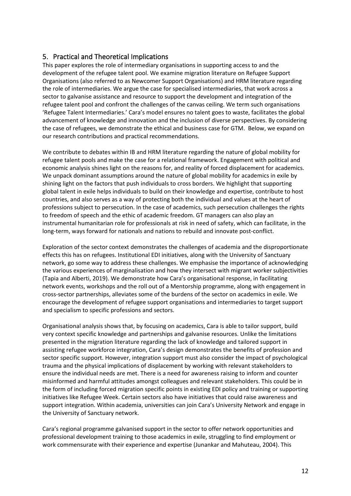# 5. Practical and Theoretical Implications

This paper explores the role of intermediary organisations in supporting access to and the development of the refugee talent pool. We examine migration literature on Refugee Support Organisations (also referred to as Newcomer Support Organisations) and HRM literature regarding the role of intermediaries. We argue the case for specialised intermediaries, that work across a sector to galvanise assistance and resource to support the development and integration of the refugee talent pool and confront the challenges of the canvas ceiling. We term such organisations 'Refugee Talent Intermediaries.' Cara's model ensures no talent goes to waste, facilitates the global advancement of knowledge and innovation and the inclusion of diverse perspectives. By considering the case of refugees, we demonstrate the ethical and business case for GTM. Below, we expand on our research contributions and practical recommendations.

We contribute to debates within IB and HRM literature regarding the nature of global mobility for refugee talent pools and make the case for a relational framework. Engagement with political and economic analysis shines light on the reasons for, and reality of forced displacement for academics. We unpack dominant assumptions around the nature of global mobility for academics in exile by shining light on the factors that push individuals to cross borders. We highlight that supporting global talent in exile helps individuals to build on their knowledge and expertise, contribute to host countries, and also serves as a way of protecting both the individual and values at the heart of professions subject to persecution. In the case of academics, such persecution challenges the rights to freedom of speech and the ethic of academic freedom. GT managers can also play an instrumental humanitarian role for professionals at risk in need of safety, which can facilitate, in the long-term, ways forward for nationals and nations to rebuild and innovate post-conflict.

Exploration of the sector context demonstrates the challenges of academia and the disproportionate effects this has on refugees. Institutional EDI initiatives, along with the University of Sanctuary network, go some way to address these challenges. We emphasise the importance of acknowledging the various experiences of marginalisation and how they intersect with migrant worker subjectivities (Tapia and Alberti, 2019). We demonstrate how Cara's organisational response, in facilitating network events, workshops and the roll out of a Mentorship programme, along with engagement in cross-sector partnerships, alleviates some of the burdens of the sector on academics in exile. We encourage the development of refugee support organisations and intermediaries to target support and specialism to specific professions and sectors.

Organisational analysis shows that, by focusing on academics, Cara is able to tailor support, build very context specific knowledge and partnerships and galvanise resources. Unlike the limitations presented in the migration literature regarding the lack of knowledge and tailored support in assisting refugee workforce integration, Cara's design demonstrates the benefits of profession and sector specific support. However, integration support must also consider the impact of psychological trauma and the physical implications of displacement by working with relevant stakeholders to ensure the individual needs are met. There is a need for awareness raising to inform and counter misinformed and harmful attitudes amongst colleagues and relevant stakeholders. This could be in the form of including forced migration specific points in existing EDI policy and training or supporting initiatives like Refugee Week. Certain sectors also have initiatives that could raise awareness and support integration. Within academia, universities can join Cara's University Network and engage in the University of Sanctuary network.

Cara's regional programme galvanised support in the sector to offer network opportunities and professional development training to those academics in exile, struggling to find employment or work commensurate with their experience and expertise (Junankar and Mahuteau, 2004). This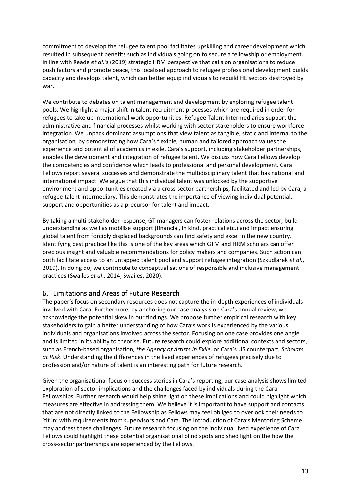commitment to develop the refugee talent pool facilitates upskilling and career development which resulted in subsequent benefits such as individuals going on to secure a fellowship or employment. In line with Reade *et al*.'s (2019) strategic HRM perspective that calls on organisations to reduce push factors and promote peace, this localised approach to refugee professional development builds capacity and develops talent, which can better equip individuals to rebuild HE sectors destroyed by war.

We contribute to debates on talent management and development by exploring refugee talent pools. We highlight a major shift in talent recruitment processes which are required in order for refugees to take up international work opportunities. Refugee Talent Intermediaries support the administrative and financial processes whilst working with sector stakeholders to ensure workforce integration. We unpack dominant assumptions that view talent as tangible, static and internal to the organisation, by demonstrating how Cara's flexible, human and tailored approach values the experience and potential of academics in exile. Cara's support, including stakeholder partnerships, enables the development and integration of refugee talent. We discuss how Cara Fellows develop the competencies and confidence which leads to professional and personal development. Cara Fellows report several successes and demonstrate the multidisciplinary talent that has national and international impact. We argue that this individual talent was unlocked by the supportive environment and opportunities created via a cross-sector partnerships, facilitated and led by Cara, a refugee talent intermediary. This demonstrates the importance of viewing individual potential, support and opportunities as a precursor for talent and impact.

By taking a multi-stakeholder response, GT managers can foster relations across the sector, build understanding as well as mobilise support (financial, in kind, practical etc.) and impact ensuring global talent from forcibly displaced backgrounds can find safety and excel in the new country. Identifying best practice like this is one of the key areas which GTM and HRM scholars can offer precious insight and valuable recommendations for policy makers and companies. Such action can both facilitate access to an untapped talent pool and support refugee integration (Szkudlarek *et al.*, 2019). In doing do, we contribute to conceptualisations of responsible and inclusive management practices (Swailes *et al*., 2014; Swailes, 2020).

# 6. Limitations and Areas of Future Research

The paper's focus on secondary resources does not capture the in-depth experiences of individuals involved with Cara. Furthermore, by anchoring our case analysis on Cara's annual review, we acknowledge the potential skew in our findings. We propose further empirical research with key stakeholders to gain a better understanding of how Cara's work is experienced by the various individuals and organisations involved across the sector. Focusing on one case provides one angle and is limited in its ability to theorise. Future research could explore additional contexts and sectors, such as French-based organisation, *the Agency of Artists in Exile*, or Cara's US counterpart, *Scholars at Risk*. Understanding the differences in the lived experiences of refugees precisely due to profession and/or nature of talent is an interesting path for future research.

Given the organisational focus on success stories in Cara's reporting, our case analysis shows limited exploration of sector implications and the challenges faced by individuals during the Cara Fellowships. Further research would help shine light on these implications and could highlight which measures are effective in addressing them. We believe it is important to have support and contacts that are not directly linked to the Fellowship as Fellows may feel obliged to overlook their needs to 'fit in' with requirements from supervisors and Cara. The introduction of Cara's Mentoring Scheme may address these challenges. Future research focusing on the individual lived experience of Cara Fellows could highlight these potential organisational blind spots and shed light on the how the cross-sector partnerships are experienced by the Fellows.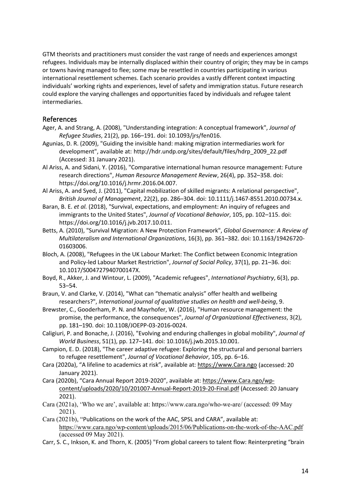GTM theorists and practitioners must consider the vast range of needs and experiences amongst refugees. Individuals may be internally displaced within their country of origin; they may be in camps or towns having managed to flee; some may be resettled in countries participating in various international resettlement schemes. Each scenario provides a vastly different context impacting individuals' working rights and experiences, level of safety and immigration status. Future research could explore the varying challenges and opportunities faced by individuals and refugee talent intermediaries.

# References

- Ager, A. and Strang, A. (2008), "Understanding integration: A conceptual framework", *Journal of Refugee Studies*, 21(2), pp. 166–191. doi: 10.1093/jrs/fen016.
- Agunias, D. R. (2009), "Guiding the invisible hand: making migration intermediaries work for development", available at: http://hdr.undp.org/sites/default/files/hdrp\_2009\_22.pdf (Accessed: 31 January 2021).
- Al Ariss, A. and Sidani, Y. (2016), "Comparative international human resource management: Future research directions", *Human Resource Management Review*, 26(4), pp. 352–358. doi: https://doi.org/10.1016/j.hrmr.2016.04.007.
- Al Ariss, A. and Syed, J. (2011), "Capital mobilization of skilled migrants: A relational perspective", *British Journal of Management*, 22(2), pp. 286–304. doi: 10.1111/j.1467-8551.2010.00734.x.
- Baran, B. E. *et al.* (2018), "Survival, expectations, and employment: An inquiry of refugees and immigrants to the United States", *Journal of Vocational Behavior*, 105, pp. 102–115. doi: https://doi.org/10.1016/j.jvb.2017.10.011.
- Betts, A. (2010), "Survival Migration: A New Protection Framework", *Global Governance: A Review of Multilateralism and International Organizations*, 16(3), pp. 361–382. doi: 10.1163/19426720- 01603006.
- Bloch, A. (2008), "Refugees in the UK Labour Market: The Conflict between Economic Integration and Policy-led Labour Market Restriction", *Journal of Social Policy*, 37(1), pp. 21–36. doi: 10.1017/S004727940700147X.
- Boyd, R., Akker, J. and Wintour, L. (2009), "Academic refugees", *International Psychiatry*, 6(3), pp. 53–54.
- Braun, V. and Clarke, V. (2014), "What can "thematic analysis" offer health and wellbeing researchers?", *International journal of qualitative studies on health and well-being*, 9.
- Brewster, C., Gooderham, P. N. and Mayrhofer, W. (2016), "Human resource management: the promise, the performance, the consequences", *Journal of Organizational Effectiveness*, 3(2), pp. 181–190. doi: 10.1108/JOEPP-03-2016-0024.
- Caligiuri, P. and Bonache, J. (2016), "Evolving and enduring challenges in global mobility", *Journal of World Business*, 51(1), pp. 127–141. doi: 10.1016/j.jwb.2015.10.001.
- Campion, E. D. (2018), "The career adaptive refugee: Exploring the structural and personal barriers to refugee resettlement", *Journal of Vocational Behavior*, 105, pp. 6–16.
- Cara (2020a), "A lifeline to academics at risk", available at: [https://www.Cara.ngo](https://eur03.safelinks.protection.outlook.com/?url=https%3A%2F%2Fwww.cara.ngo%2F&data=04%7C01%7CKulichyova-A%40ulster.ac.uk%7C1fd2f2d2abe64410b84408d8bfb5b7c9%7C6f0b94874fa842a8aeb4bf2e2c22d4e8%7C0%7C0%7C637470135547550147%7CUnknown%7CTWFpbGZsb3d8eyJWIjoiMC4wLjAwMDAiLCJQIjoiV2luMzIiLCJBTiI6Ik1haWwiLCJXVCI6Mn0%3D%7C1000&sdata=YWLRoxYPMKpBOmRDUtXQdD%2B7IUWjO4zwV7E4POmTmRA%3D&reserved=0) (accessed: 20 January 2021).
- Cara (2020b), "Cara Annual Report 2019-2020", available at: https://www.Cara.ngo/wpcontent/uploads/2020/10/201007-Annual-Report-2019-20-Final.pdf (Accessed: 20 January 2021).
- Cara (2021a), 'Who we are', available at: https://www.cara.ngo/who-we-are/ (accessed: 09 May 2021).
- Cara (2021b), "Publications on the work of the AAC, SPSL and CARA", available at: <https://www.cara.ngo/wp-content/uploads/2015/06/Publications-on-the-work-of-the-AAC.pdf> (accessed 09 May 2021).
- Carr, S. C., Inkson, K. and Thorn, K. (2005) "From global careers to talent flow: Reinterpreting "brain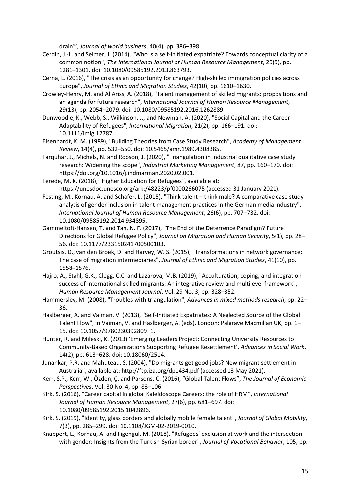drain"', *Journal of world business*, 40(4), pp. 386–398.

- Cerdin, J.-L. and Selmer, J. (2014), "Who is a self-initiated expatriate? Towards conceptual clarity of a common notion", *The International Journal of Human Resource Management*, 25(9), pp. 1281–1301. doi: 10.1080/09585192.2013.863793.
- Cerna, L. (2016), "The crisis as an opportunity for change? High-skilled immigration policies across Europe", *Journal of Ethnic and Migration Studies*, 42(10), pp. 1610–1630.
- Crowley-Henry, M. and Al Ariss, A. (2018), "Talent management of skilled migrants: propositions and an agenda for future research", *International Journal of Human Resource Management*, 29(13), pp. 2054–2079. doi: 10.1080/09585192.2016.1262889.
- Dunwoodie, K., Webb, S., Wilkinson, J., and Newman, A. (2020), "Social Capital and the Career Adaptability of Refugees", *International Migration*, 21(2), pp. 166–191. doi: 10.1111/imig.12787.
- Eisenhardt, K. M. (1989), "Building Theories from Case Study Research", *Academy of Management Review*, 14(4), pp. 532–550. doi: 10.5465/amr.1989.4308385.
- Farquhar, J., Michels, N. and Robson, J. (2020), "Triangulation in industrial qualitative case study research: Widening the scope", *Industrial Marketing Management*, 87, pp. 160–170. doi: https://doi.org/10.1016/j.indmarman.2020.02.001.
- Ferede, M. K. (2018), "Higher Education for Refugees*"*, available at: https://unesdoc.unesco.org/ark:/48223/pf0000266075 (accessed 31 January 2021).
- Festing, M., Kornau, A. and Schäfer, L. (2015), "Think talent think male? A comparative case study analysis of gender inclusion in talent management practices in the German media industry", *International Journal of Human Resource Management*, 26(6), pp. 707–732. doi: 10.1080/09585192.2014.934895.
- Gammeltoft-Hansen, T. and Tan, N. F. (2017), "The End of the Deterrence Paradigm? Future Directions for Global Refugee Policy", *Journal on Migration and Human Security*, 5(1), pp. 28– 56. doi: 10.1177/233150241700500103.
- Groutsis, D., van den Broek, D. and Harvey, W. S. (2015), "Transformations in network governance: The case of migration intermediaries", *Journal of Ethnic and Migration Studies*, 41(10), pp. 1558–1576.
- Hajro, A., Stahl, G.K., Clegg, C.C. and Lazarova, M.B. (2019), "Acculturation, coping, and integration success of international skilled migrants: An integrative review and multilevel framework", *Human Resource Management Journal*, Vol. 29 No. 3, pp. 328–352.
- Hammersley, M. (2008), "Troubles with triangulation", *Advances in mixed methods research*, pp. 22– 36.
- Haslberger, A. and Vaiman, V. (2013), "Self-Initiated Expatriates: A Neglected Source of the Global Talent Flow", in Vaiman, V. and Haslberger, A. (eds). London: Palgrave Macmillan UK, pp. 1– 15. doi: 10.1057/9780230392809\_1.
- Hunter, R. and Mileski, K. (2013) 'Emerging Leaders Project: Connecting University Resources to Community-Based Organizations Supporting Refugee Resettlement', *Advances in Social Work*, 14(2), pp. 613–628. doi: 10.18060/2514.
- Junankar, P.R. and Mahuteau, S. (2004), "Do migrants get good jobs? New migrant settlement in Australia", available at: http://ftp.iza.org/dp1434.pdf (accessed 13 May 2021).
- Kerr, S.P., Kerr, W., Özden, Ç. and Parsons, C. (2016), "Global Talent Flows", *The Journal of Economic Perspectives*, Vol. 30 No. 4, pp. 83–106.
- Kirk, S. (2016), "Career capital in global Kaleidoscope Careers: the role of HRM", *International Journal of Human Resource Management*, 27(6), pp. 681–697. doi: 10.1080/09585192.2015.1042896.
- Kirk, S. (2019), "Identity, glass borders and globally mobile female talent", *Journal of Global Mobility*, 7(3), pp. 285–299. doi: 10.1108/JGM-02-2019-0010.
- Knappert, L., Kornau, A. and Figengül, M. (2018), "Refugees' exclusion at work and the intersection with gender: Insights from the Turkish-Syrian border", *Journal of Vocational Behavior*, 105, pp.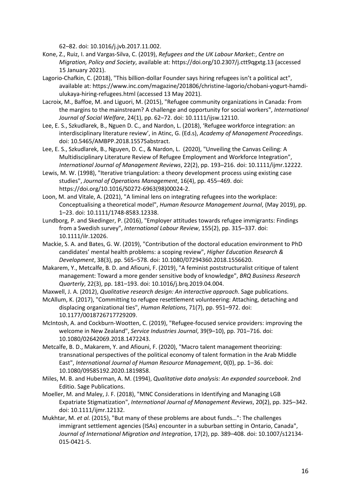62–82. doi: 10.1016/j.jvb.2017.11.002.

- Kone, Z., Ruiz, I. and Vargas-Silva, C. (2019), *Refugees and the UK Labour Market:*, *Centre on Migration, Policy and Society*, available at: https://doi.org/10.2307/j.ctt9qgxtg.13 (accessed 15 January 2021).
- Lagorio-Chafkin, C. (2018), "This billion-dollar Founder says hiring refugees isn't a political act", available at: https://www.inc.com/magazine/201806/christine-lagorio/chobani-yogurt-hamdiulukaya-hiring-refugees.html (accessed 13 May 2021).
- Lacroix, M., Baffoe, M. and Liguori, M. (2015), "Refugee community organizations in Canada: From the margins to the mainstream? A challenge and opportunity for social workers", *International Journal of Social Welfare*, 24(1), pp. 62–72. doi: 10.1111/ijsw.12110.
- Lee, E. S., Szkudlarek, B., Nguen D. C., and Nardon, L. (2018), 'Refugee workforce integration: an interdisciplinary literature review', in Atinc, G. (Ed.s), *Academy of Management Proceedings*. doi: 10.5465/AMBPP.2018.15575abstract.
- Lee, E. S., Szkudlarek, B., Nguyen, D. C., & Nardon, L. (2020), "Unveiling the Canvas Ceiling: A Multidisciplinary Literature Review of Refugee Employment and Workforce Integration", *International Journal of Management Reviews*, 22(2), pp. 193–216. doi: 10.1111/ijmr.12222.
- Lewis, M. W. (1998), "Iterative triangulation: a theory development process using existing case studies", *Journal of Operations Management*, 16(4), pp. 455–469. doi: https://doi.org/10.1016/S0272-6963(98)00024-2.
- Loon, M. and Vitale, A. (2021), "A liminal lens on integrating refugees into the workplace: Conceptualising a theoretical model", *Human Resource Management Journal*, (May 2019), pp. 1–23. doi: 10.1111/1748-8583.12338.
- Lundborg, P. and Skedinger, P. (2016), "Employer attitudes towards refugee immigrants: Findings from a Swedish survey", *International Labour Review*, 155(2), pp. 315–337. doi: 10.1111/ilr.12026.
- Mackie, S. A. and Bates, G. W. (2019), "Contribution of the doctoral education environment to PhD candidates' mental health problems: a scoping review", *Higher Education Research & Development*, 38(3), pp. 565–578. doi: 10.1080/07294360.2018.1556620.
- Makarem, Y., Metcalfe, B. D. and Afiouni, F. (2019), "A feminist poststructuralist critique of talent management: Toward a more gender sensitive body of knowledge", *BRQ Business Research Quarterly*, 22(3), pp. 181–193. doi: 10.1016/j.brq.2019.04.004.

Maxwell, J. A. (2012), *Qualitative research design: An interactive approach*. Sage publications.

- McAllum, K. (2017), "Committing to refugee resettlement volunteering: Attaching, detaching and displacing organizational ties", *Human Relations*, 71(7), pp. 951–972. doi: 10.1177/0018726717729209.
- McIntosh, A. and Cockburn-Wootten, C. (2019), "Refugee-focused service providers: improving the welcome in New Zealand", *Service Industries Journal*, 39(9–10), pp. 701–716. doi: 10.1080/02642069.2018.1472243.
- Metcalfe, B. D., Makarem, Y. and Afiouni, F. (2020), "Macro talent management theorizing: transnational perspectives of the political economy of talent formation in the Arab Middle East", *International Journal of Human Resource Management*, 0(0), pp. 1–36. doi: 10.1080/09585192.2020.1819858.
- Miles, M. B. and Huberman, A. M. (1994), *Qualitative data analysis: An expanded sourcebook*. 2nd Editio. Sage Publications.
- Moeller, M. and Maley, J. F. (2018), "MNC Considerations in Identifying and Managing LGB Expatriate Stigmatization", *International Journal of Management Reviews*, 20(2), pp. 325–342. doi: 10.1111/ijmr.12132.
- Mukhtar, M. *et al.* (2015), "But many of these problems are about funds…": The challenges immigrant settlement agencies (ISAs) encounter in a suburban setting in Ontario, Canada", *Journal of International Migration and Integration*, 17(2), pp. 389–408. doi: 10.1007/s12134- 015-0421-5.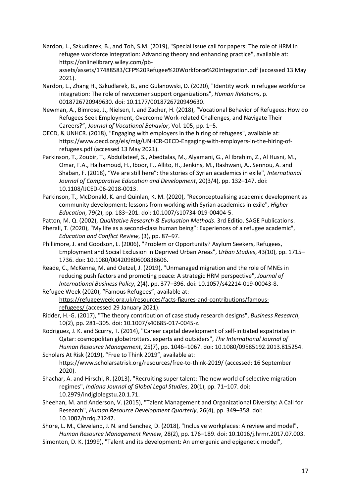Nardon, L., Szkudlarek, B., and Toh, S.M. (2019), "Special Issue call for papers: The role of HRM in refugee workforce integration: Advancing theory and enhancing practice", available at: https://onlinelibrary.wiley.com/pbassets/assets/17488583/CFP%20Refugee%20Workforce%20Integration.pdf (accessed 13 May 2021).

- Nardon, L., Zhang H., Szkudlarek, B., and Gulanowski, D. (2020), "Identity work in refugee workforce integration: The role of newcomer support organizations", *Human Relations*, p. 0018726720949630. doi: 10.1177/0018726720949630.
- Newman, A., Bimrose, J., Nielsen, I. and Zacher, H. (2018), "Vocational Behavior of Refugees: How do Refugees Seek Employment, Overcome Work-related Challenges, and Navigate Their Careers?", *Journal of Vocational Behavior*, Vol. 105, pp. 1–5.
- OECD, & UNHCR. (2018), "Engaging with employers in the hiring of refugees", available at: https://www.oecd.org/els/mig/UNHCR-OECD-Engaging-with-employers-in-the-hiring-ofrefugees.pdf (accessed 13 May 2021).
- Parkinson, T., Zoubir, T., Abdullateef, S., Abedtalas, M., Alyamani, G., Al Ibrahim, Z., Al Husni, M., Omar, F.A., Hajhamoud, H., Iboor, F., Allito, H., Jenkins, M., Rashwani, A., Sennou, A. and Shaban, F. (2018), "We are still here": the stories of Syrian academics in exile", *International Journal of Comparative Education and Development*, 20(3/4), pp. 132–147. doi: 10.1108/IJCED-06-2018-0013.
- Parkinson, T., McDonald, K. and Quinlan, K. M. (2020), "Reconceptualising academic development as community development: lessons from working with Syrian academics in exile", *Higher Education*, 79(2), pp. 183–201. doi: 10.1007/s10734-019-00404-5.
- Patton, M. Q. (2002), *Qualitative Research & Evaluation Methods*. 3rd Editio. SAGE Publications.
- Pherali, T. (2020), "My life as a second-class human being": Experiences of a refugee academic", *Education and Conflict Review*, (3), pp. 87–97.
- Phillimore, J. and Goodson, L. (2006), "Problem or Opportunity? Asylum Seekers, Refugees, Employment and Social Exclusion in Deprived Urban Areas", *Urban Studies*, 43(10), pp. 1715– 1736. doi: 10.1080/00420980600838606.
- Reade, C., McKenna, M. and Oetzel, J. (2019), "Unmanaged migration and the role of MNEs in reducing push factors and promoting peace: A strategic HRM perspective", *Journal of International Business Policy*, 2(4), pp. 377–396. doi: 10.1057/s42214-019-00043-8.
- Refugee Week (2020), "Famous Refugees", available at: [https://refugeeweek.org.uk/resources/facts-figures-and-contributions/famous](https://refugeeweek.org.uk/resources/facts-figures-and-contributions/famous-refugees/)[refugees/](https://refugeeweek.org.uk/resources/facts-figures-and-contributions/famous-refugees/) (accessed 29 January 2021).
- Ridder, H.-G. (2017), "The theory contribution of case study research designs", *Business Research*, 10(2), pp. 281–305. doi: 10.1007/s40685-017-0045-z.
- Rodriguez, J. K. and Scurry, T. (2014), "Career capital development of self-initiated expatriates in Qatar: cosmopolitan globetrotters, experts and outsiders", *The International Journal of Human Resource Management*, 25(7), pp. 1046–1067. doi: 10.1080/09585192.2013.815254. Scholars At Risk (2019), "Free to Think 2019", available at:
- <https://www.scholarsatrisk.org/resources/free-to-think-2019/> (accessed: 16 September 2020).
- Shachar, A. and Hirschl, R. (2013), "Recruiting super talent: The new world of selective migration regimes", *Indiana Journal of Global Legal Studies*, 20(1), pp. 71–107. doi: 10.2979/indjglolegstu.20.1.71.
- Sheehan, M. and Anderson, V. (2015), "Talent Management and Organizational Diversity: A Call for Research", *Human Resource Development Quarterly*, 26(4), pp. 349–358. doi: 10.1002/hrdq.21247.
- Shore, L. M., Cleveland, J. N. and Sanchez, D. (2018), "Inclusive workplaces: A review and model", *Human Resource Management Review*, 28(2), pp. 176–189. doi: 10.1016/j.hrmr.2017.07.003.
- Simonton, D. K. (1999), "Talent and its development: An emergenic and epigenetic model",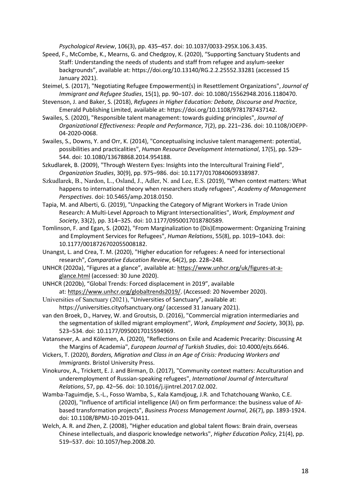*Psychological Review*, 106(3), pp. 435–457. doi: 10.1037/0033-295X.106.3.435.

- Speed, F., McCombe, K., Mearns, G. and Chedgzoy, K. (2020), "Supporting Sanctuary Students and Staff: Understanding the needs of students and staff from refugee and asylum-seeker backgrounds", available at: https://doi.org/10.13140/RG.2.2.25552.33281 (accessed 15 January 2021).
- Steimel, S. (2017), "Negotiating Refugee Empowerment(s) in Resettlement Organizations", *Journal of Immigrant and Refugee Studies*, 15(1), pp. 90–107. doi: 10.1080/15562948.2016.1180470.
- Stevenson, J. and Baker, S. (2018), *Refugees in Higher Education: Debate, Discourse and Practice*, Emerald Publishing Limited, available at: https://doi.org/10.1108/9781787437142.
- Swailes, S. (2020), "Responsible talent management: towards guiding principles", *Journal of Organizational Effectiveness: People and Performance*, 7(2), pp. 221–236. doi: 10.1108/JOEPP-04-2020-0068.
- Swailes, S., Downs, Y. and Orr, K. (2014), "Conceptualising inclusive talent management: potential, possibilities and practicalities", *Human Resource Development International*, 17(5), pp. 529– 544. doi: 10.1080/13678868.2014.954188.
- Szkudlarek, B. (2009), "Through Western Eyes: Insights into the Intercultural Training Field", *Organization Studies*, 30(9), pp. 975–986. doi: 10.1177/0170840609338987.
- Szkudlarek, B., Nardon, L., Osland, J., Adler, N. and Lee, E.S. (2019), "When context matters: What happens to international theory when researchers study refugees", *Academy of Management Perspectives*. doi: 10.5465/amp.2018.0150.
- Tapia, M. and Alberti, G. (2019), "Unpacking the Category of Migrant Workers in Trade Union Research: A Multi-Level Approach to Migrant Intersectionalities", *Work, Employment and Society*, 33(2), pp. 314–325. doi: 10.1177/0950017018780589.
- Tomlinson, F. and Egan, S. (2002), "From Marginalization to (Dis)Empowerment: Organizing Training and Employment Services for Refugees", *Human Relations*, 55(8), pp. 1019–1043. doi: 10.1177/0018726702055008182.
- Unangst, L. and Crea, T. M. (2020), "Higher education for refugees: A need for intersectional research", *Comparative Education Review*, 64(2), pp. 228–248.
- UNHCR (2020a), "Figures at a glance", available at: [https://www.unhcr.org/uk/figures-at-a](https://eur03.safelinks.protection.outlook.com/?url=https%3A%2F%2Fwww.unhcr.org%2Fuk%2Ffigures-at-a-glance.html&data=04%7C01%7CKulichyova-A%40ulster.ac.uk%7C1fd2f2d2abe64410b84408d8bfb5b7c9%7C6f0b94874fa842a8aeb4bf2e2c22d4e8%7C0%7C0%7C637470135547530163%7CUnknown%7CTWFpbGZsb3d8eyJWIjoiMC4wLjAwMDAiLCJQIjoiV2luMzIiLCJBTiI6Ik1haWwiLCJXVCI6Mn0%3D%7C1000&sdata=l%2FDHlYlVScWn5FkWmoQoGB0h4MWx4YUyi5AcJcoTyJA%3D&reserved=0)[glance.html](https://eur03.safelinks.protection.outlook.com/?url=https%3A%2F%2Fwww.unhcr.org%2Fuk%2Ffigures-at-a-glance.html&data=04%7C01%7CKulichyova-A%40ulster.ac.uk%7C1fd2f2d2abe64410b84408d8bfb5b7c9%7C6f0b94874fa842a8aeb4bf2e2c22d4e8%7C0%7C0%7C637470135547530163%7CUnknown%7CTWFpbGZsb3d8eyJWIjoiMC4wLjAwMDAiLCJQIjoiV2luMzIiLCJBTiI6Ik1haWwiLCJXVCI6Mn0%3D%7C1000&sdata=l%2FDHlYlVScWn5FkWmoQoGB0h4MWx4YUyi5AcJcoTyJA%3D&reserved=0) (accessed: 30 June 2020).
- UNHCR (2020b), "Global Trends: Forced displacement in 2019", available at: [https://www.unhcr.org/globaltrends2019/.](https://eur03.safelinks.protection.outlook.com/?url=https%3A%2F%2Fwww.unhcr.org%2Fglobaltrends2019%2F&data=04%7C01%7CKulichyova-A%40ulster.ac.uk%7C1fd2f2d2abe64410b84408d8bfb5b7c9%7C6f0b94874fa842a8aeb4bf2e2c22d4e8%7C0%7C0%7C637470135547530163%7CUnknown%7CTWFpbGZsb3d8eyJWIjoiMC4wLjAwMDAiLCJQIjoiV2luMzIiLCJBTiI6Ik1haWwiLCJXVCI6Mn0%3D%7C1000&sdata=MPsKvyqKVRuLAlj0IPnExKeKhTAn0YVxvoLwuqDXVV8%3D&reserved=0) (Accessed: 20 November 2020).
- Universities of Sanctuary (2021), "Universities of Sanctuary", available at: https://universities.cityofsanctuary.org/ (accessed 31 January 2021).
- van den Broek, D., Harvey, W. and Groutsis, D. (2016), "Commercial migration intermediaries and the segmentation of skilled migrant employment", *Work, Employment and Society*, 30(3), pp. 523–534. doi: 10.1177/0950017015594969.
- Vatansever, A. and Kölemen, A. (2020), "Reflections on Exile and Academic Precarity: Discussing At the Margins of Academia", *European Journal of Turkish Studies*, doi: 10.4000/ejts.6646.
- Vickers, T. (2020), *Borders, Migration and Class in an Age of Crisis: Producing Workers and Immigrants*. Bristol University Press.
- Vinokurov, A., Trickett, E. J. and Birman, D. (2017), "Community context matters: Acculturation and underemployment of Russian-speaking refugees", *International Journal of Intercultural Relations*, 57, pp. 42–56. doi: 10.1016/j.ijintrel.2017.02.002.
- Wamba-Taguimdje, S.-L., Fosso Wamba, S., Kala Kamdjoug, J.R. and Tchatchouang Wanko, C.E. (2020), "Influence of artificial intelligence (AI) on firm performance: the business value of AIbased transformation projects", *Business Process Management Journal*, 26(7), pp. 1893-1924. doi: 10.1108/BPMJ-10-2019-0411.
- Welch, A. R. and Zhen, Z. (2008), "Higher education and global talent flows: Brain drain, overseas Chinese intellectuals, and diasporic knowledge networks", *Higher Education Policy*, 21(4), pp. 519–537. doi: 10.1057/hep.2008.20.